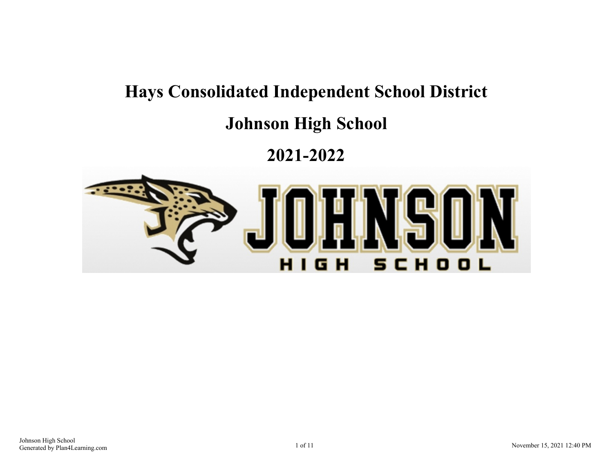# **Hays Consolidated Independent School District**

## **Johnson High School**

## **2021-2022**

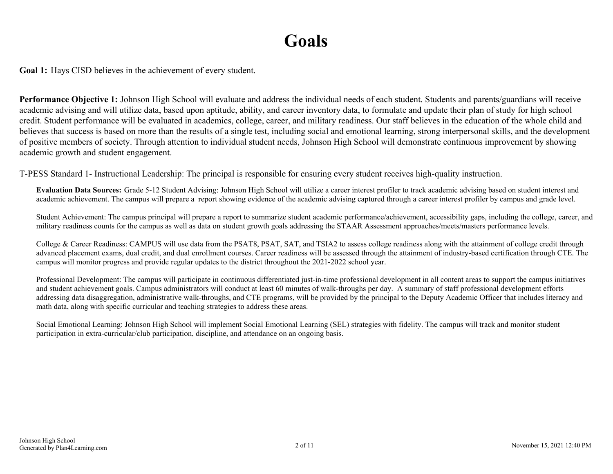## **Goals**

**Goal 1:** Hays CISD believes in the achievement of every student.

**Performance Objective 1:** Johnson High School will evaluate and address the individual needs of each student. Students and parents/guardians will receive academic advising and will utilize data, based upon aptitude, ability, and career inventory data, to formulate and update their plan of study for high school credit. Student performance will be evaluated in academics, college, career, and military readiness. Our staff believes in the education of the whole child and believes that success is based on more than the results of a single test, including social and emotional learning, strong interpersonal skills, and the development of positive members of society. Through attention to individual student needs, Johnson High School will demonstrate continuous improvement by showing academic growth and student engagement.

T-PESS Standard 1- Instructional Leadership: The principal is responsible for ensuring every student receives high-quality instruction.

**Evaluation Data Sources:** Grade 5-12 Student Advising: Johnson High School will utilize a career interest profiler to track academic advising based on student interest and academic achievement. The campus will prepare a report showing evidence of the academic advising captured through a career interest profiler by campus and grade level.

Student Achievement: The campus principal will prepare a report to summarize student academic performance/achievement, accessibility gaps, including the college, career, and military readiness counts for the campus as well as data on student growth goals addressing the STAAR Assessment approaches/meets/masters performance levels.

College & Career Readiness: CAMPUS will use data from the PSAT8, PSAT, SAT, and TSIA2 to assess college readiness along with the attainment of college credit through advanced placement exams, dual credit, and dual enrollment courses. Career readiness will be assessed through the attainment of industry-based certification through CTE. The campus will monitor progress and provide regular updates to the district throughout the 2021-2022 school year.

Professional Development: The campus will participate in continuous differentiated just-in-time professional development in all content areas to support the campus initiatives and student achievement goals. Campus administrators will conduct at least 60 minutes of walk-throughs per day. A summary of staff professional development efforts addressing data disaggregation, administrative walk-throughs, and CTE programs, will be provided by the principal to the Deputy Academic Officer that includes literacy and math data, along with specific curricular and teaching strategies to address these areas.

Social Emotional Learning: Johnson High School will implement Social Emotional Learning (SEL) strategies with fidelity. The campus will track and monitor student participation in extra-curricular/club participation, discipline, and attendance on an ongoing basis.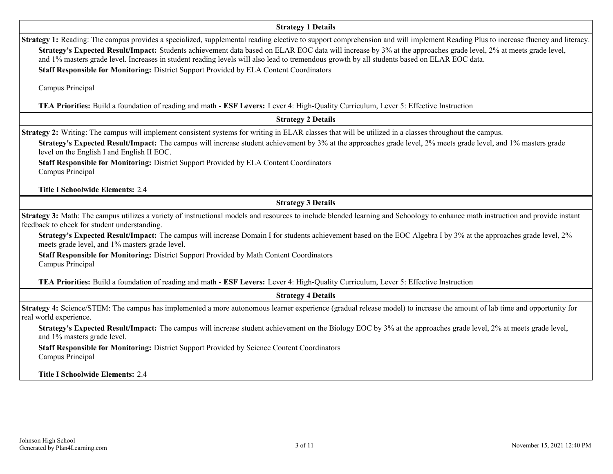### **Strategy 1 Details**

| <b>Strategy 1 Details</b>                                                                                                                                                                                                                                                                                                                                                                                                                                                                                                                                                                            |
|------------------------------------------------------------------------------------------------------------------------------------------------------------------------------------------------------------------------------------------------------------------------------------------------------------------------------------------------------------------------------------------------------------------------------------------------------------------------------------------------------------------------------------------------------------------------------------------------------|
| <b>Strategy 1:</b> Reading: The campus provides a specialized, supplemental reading elective to support comprehension and will implement Reading Plus to increase fluency and literacy.<br>Strategy's Expected Result/Impact: Students achievement data based on ELAR EOC data will increase by 3% at the approaches grade level, 2% at meets grade level,<br>and 1% masters grade level. Increases in student reading levels will also lead to tremendous growth by all students based on ELAR EOC data.<br>Staff Responsible for Monitoring: District Support Provided by ELA Content Coordinators |
| Campus Principal                                                                                                                                                                                                                                                                                                                                                                                                                                                                                                                                                                                     |
| TEA Priorities: Build a foundation of reading and math - ESF Levers: Lever 4: High-Quality Curriculum, Lever 5: Effective Instruction                                                                                                                                                                                                                                                                                                                                                                                                                                                                |
| <b>Strategy 2 Details</b>                                                                                                                                                                                                                                                                                                                                                                                                                                                                                                                                                                            |
| Strategy 2: Writing: The campus will implement consistent systems for writing in ELAR classes that will be utilized in a classes throughout the campus.<br>Strategy's Expected Result/Impact: The campus will increase student achievement by 3% at the approaches grade level, 2% meets grade level, and 1% masters grade<br>level on the English I and English II EOC.<br>Staff Responsible for Monitoring: District Support Provided by ELA Content Coordinators<br>Campus Principal                                                                                                              |
| <b>Title I Schoolwide Elements: 2.4</b>                                                                                                                                                                                                                                                                                                                                                                                                                                                                                                                                                              |
| <b>Strategy 3 Details</b>                                                                                                                                                                                                                                                                                                                                                                                                                                                                                                                                                                            |
| Strategy 3: Math: The campus utilizes a variety of instructional models and resources to include blended learning and Schoology to enhance math instruction and provide instant<br>feedback to check for student understanding.                                                                                                                                                                                                                                                                                                                                                                      |
| Strategy's Expected Result/Impact: The campus will increase Domain I for students achievement based on the EOC Algebra I by 3% at the approaches grade level, 2%<br>meets grade level, and 1% masters grade level.                                                                                                                                                                                                                                                                                                                                                                                   |
| Staff Responsible for Monitoring: District Support Provided by Math Content Coordinators<br>Campus Principal                                                                                                                                                                                                                                                                                                                                                                                                                                                                                         |
| TEA Priorities: Build a foundation of reading and math - ESF Levers: Lever 4: High-Quality Curriculum, Lever 5: Effective Instruction                                                                                                                                                                                                                                                                                                                                                                                                                                                                |
| <b>Strategy 4 Details</b>                                                                                                                                                                                                                                                                                                                                                                                                                                                                                                                                                                            |
| Strategy 4: Science/STEM: The campus has implemented a more autonomous learner experience (gradual release model) to increase the amount of lab time and opportunity for<br>real world experience.                                                                                                                                                                                                                                                                                                                                                                                                   |
| Strategy's Expected Result/Impact: The campus will increase student achievement on the Biology EOC by 3% at the approaches grade level, 2% at meets grade level,<br>and 1% masters grade level.                                                                                                                                                                                                                                                                                                                                                                                                      |
| Staff Responsible for Monitoring: District Support Provided by Science Content Coordinators<br>Campus Principal                                                                                                                                                                                                                                                                                                                                                                                                                                                                                      |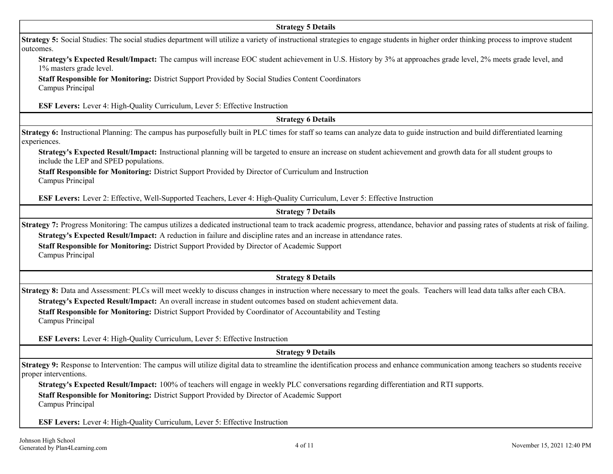| <b>Strategy 5 Details</b>                                                                                                                                                                                                                                                                                                                                                                                                        |
|----------------------------------------------------------------------------------------------------------------------------------------------------------------------------------------------------------------------------------------------------------------------------------------------------------------------------------------------------------------------------------------------------------------------------------|
| Strategy 5: Social Studies: The social studies department will utilize a variety of instructional strategies to engage students in higher order thinking process to improve student<br>outcomes.                                                                                                                                                                                                                                 |
| Strategy's Expected Result/Impact: The campus will increase EOC student achievement in U.S. History by 3% at approaches grade level, 2% meets grade level, and<br>1% masters grade level.                                                                                                                                                                                                                                        |
| Staff Responsible for Monitoring: District Support Provided by Social Studies Content Coordinators<br>Campus Principal                                                                                                                                                                                                                                                                                                           |
| <b>ESF Levers:</b> Lever 4: High-Quality Curriculum, Lever 5: Effective Instruction                                                                                                                                                                                                                                                                                                                                              |
| <b>Strategy 6 Details</b>                                                                                                                                                                                                                                                                                                                                                                                                        |
| Strategy 6: Instructional Planning: The campus has purposefully built in PLC times for staff so teams can analyze data to guide instruction and build differentiated learning<br>experiences.                                                                                                                                                                                                                                    |
| Strategy's Expected Result/Impact: Instructional planning will be targeted to ensure an increase on student achievement and growth data for all student groups to<br>include the LEP and SPED populations.                                                                                                                                                                                                                       |
| Staff Responsible for Monitoring: District Support Provided by Director of Curriculum and Instruction<br>Campus Principal                                                                                                                                                                                                                                                                                                        |
| ESF Levers: Lever 2: Effective, Well-Supported Teachers, Lever 4: High-Quality Curriculum, Lever 5: Effective Instruction                                                                                                                                                                                                                                                                                                        |
| <b>Strategy 7 Details</b>                                                                                                                                                                                                                                                                                                                                                                                                        |
| Strategy 7: Progress Monitoring: The campus utilizes a dedicated instructional team to track academic progress, attendance, behavior and passing rates of students at risk of failing.<br>Strategy's Expected Result/Impact: A reduction in failure and discipline rates and an increase in attendance rates.<br>Staff Responsible for Monitoring: District Support Provided by Director of Academic Support<br>Campus Principal |
| <b>Strategy 8 Details</b>                                                                                                                                                                                                                                                                                                                                                                                                        |
| Strategy 8: Data and Assessment: PLCs will meet weekly to discuss changes in instruction where necessary to meet the goals. Teachers will lead data talks after each CBA.<br>Strategy's Expected Result/Impact: An overall increase in student outcomes based on student achievement data.<br>Staff Responsible for Monitoring: District Support Provided by Coordinator of Accountability and Testing<br>Campus Principal       |
| <b>ESF Levers:</b> Lever 4: High-Quality Curriculum, Lever 5: Effective Instruction                                                                                                                                                                                                                                                                                                                                              |
| <b>Strategy 9 Details</b>                                                                                                                                                                                                                                                                                                                                                                                                        |
| Strategy 9: Response to Intervention: The campus will utilize digital data to streamline the identification process and enhance communication among teachers so students receive<br>proper interventions.                                                                                                                                                                                                                        |
| Strategy's Expected Result/Impact: 100% of teachers will engage in weekly PLC conversations regarding differentiation and RTI supports.<br>Staff Responsible for Monitoring: District Support Provided by Director of Academic Support<br>Campus Principal                                                                                                                                                                       |
| <b>ESF Levers:</b> Lever 4: High-Quality Curriculum, Lever 5: Effective Instruction                                                                                                                                                                                                                                                                                                                                              |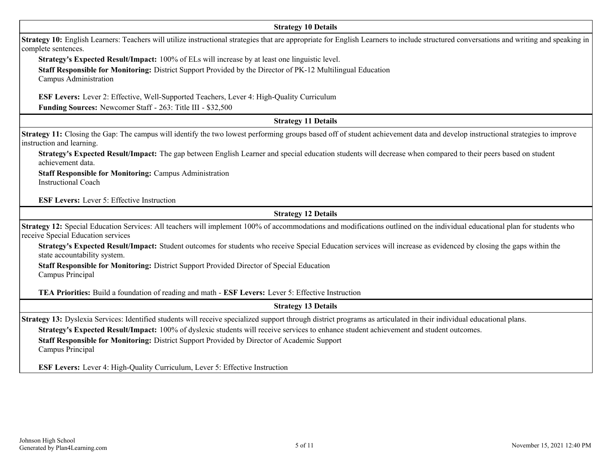#### **Strategy 10 Details**

**Strategy 10:** English Learners: Teachers will utilize instructional strategies that are appropriate for English Learners to include structured conversations and writing and speaking in complete sentences.

**Strategy's Expected Result/Impact:** 100% of ELs will increase by at least one linguistic level.

**Staff Responsible for Monitoring:** District Support Provided by the Director of PK-12 Multilingual Education

Campus Administration

**ESF Levers:** Lever 2: Effective, Well-Supported Teachers, Lever 4: High-Quality Curriculum

**Funding Sources:** Newcomer Staff - 263: Title III - \$32,500

## **Strategy 11 Details**

**Strategy 11:** Closing the Gap: The campus will identify the two lowest performing groups based off of student achievement data and develop instructional strategies to improve instruction and learning.

**Strategy's Expected Result/Impact:** The gap between English Learner and special education students will decrease when compared to their peers based on student achievement data.

**Staff Responsible for Monitoring:** Campus Administration Instructional Coach

**ESF Levers:** Lever 5: Effective Instruction

**Strategy 12 Details**

**Strategy 12:** Special Education Services: All teachers will implement 100% of accommodations and modifications outlined on the individual educational plan for students who receive Special Education services

**Strategy's Expected Result/Impact:** Student outcomes for students who receive Special Education services will increase as evidenced by closing the gaps within the state accountability system.

**Staff Responsible for Monitoring:** District Support Provided Director of Special Education Campus Principal

**TEA Priorities:** Build a foundation of reading and math - **ESF Levers:** Lever 5: Effective Instruction

**Strategy 13 Details**

**Strategy 13:** Dyslexia Services: Identified students will receive specialized support through district programs as articulated in their individual educational plans.

**Strategy's Expected Result/Impact:** 100% of dyslexic students will receive services to enhance student achievement and student outcomes.

**Staff Responsible for Monitoring:** District Support Provided by Director of Academic Support Campus Principal

**ESF Levers:** Lever 4: High-Quality Curriculum, Lever 5: Effective Instruction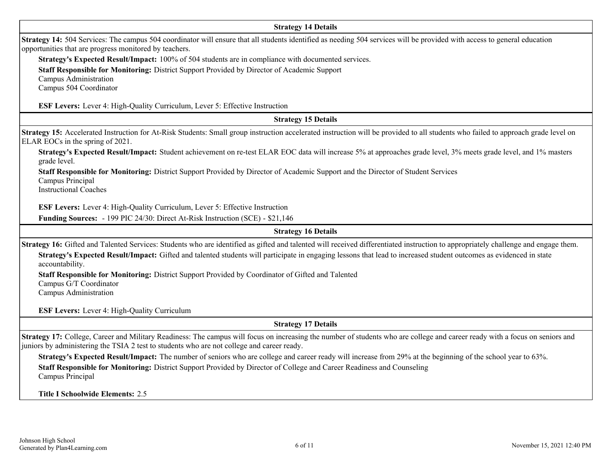| <b>Strategy 14 Details</b>                                                                                                                                                                                                                                                 |
|----------------------------------------------------------------------------------------------------------------------------------------------------------------------------------------------------------------------------------------------------------------------------|
| <b>Strategy 14:</b> 504 Services: The campus 504 coordinator will ensure that all students identified as needing 504 services will be provided with access to general education<br>opportunities that are progress monitored by teachers.                                  |
| Strategy's Expected Result/Impact: 100% of 504 students are in compliance with documented services.                                                                                                                                                                        |
| Staff Responsible for Monitoring: District Support Provided by Director of Academic Support                                                                                                                                                                                |
| Campus Administration                                                                                                                                                                                                                                                      |
| Campus 504 Coordinator                                                                                                                                                                                                                                                     |
| ESF Levers: Lever 4: High-Quality Curriculum, Lever 5: Effective Instruction                                                                                                                                                                                               |
| <b>Strategy 15 Details</b>                                                                                                                                                                                                                                                 |
| Strategy 15: Accelerated Instruction for At-Risk Students: Small group instruction accelerated instruction will be provided to all students who failed to approach grade level on<br>ELAR EOCs in the spring of 2021.                                                      |
| Strategy's Expected Result/Impact: Student achievement on re-test ELAR EOC data will increase 5% at approaches grade level, 3% meets grade level, and 1% masters<br>grade level.                                                                                           |
| Staff Responsible for Monitoring: District Support Provided by Director of Academic Support and the Director of Student Services<br>Campus Principal<br><b>Instructional Coaches</b>                                                                                       |
| ESF Levers: Lever 4: High-Quality Curriculum, Lever 5: Effective Instruction                                                                                                                                                                                               |
| Funding Sources: - 199 PIC 24/30: Direct At-Risk Instruction (SCE) - \$21,146                                                                                                                                                                                              |
| <b>Strategy 16 Details</b>                                                                                                                                                                                                                                                 |
| Strategy 16: Gifted and Talented Services: Students who are identified as gifted and talented will received differentiated instruction to appropriately challenge and engage them.                                                                                         |
| Strategy's Expected Result/Impact: Gifted and talented students will participate in engaging lessons that lead to increased student outcomes as evidenced in state<br>accountability.                                                                                      |
| Staff Responsible for Monitoring: District Support Provided by Coordinator of Gifted and Talented                                                                                                                                                                          |
| Campus G/T Coordinator                                                                                                                                                                                                                                                     |
| Campus Administration                                                                                                                                                                                                                                                      |
| <b>ESF Levers:</b> Lever 4: High-Quality Curriculum                                                                                                                                                                                                                        |
| <b>Strategy 17 Details</b>                                                                                                                                                                                                                                                 |
| Strategy 17: College, Career and Military Readiness: The campus will focus on increasing the number of students who are college and career ready with a focus on seniors and<br>juniors by administering the TSIA 2 test to students who are not college and career ready. |
| Strategy's Expected Result/Impact: The number of seniors who are college and career ready will increase from 29% at the beginning of the school year to 63%.                                                                                                               |
| Staff Responsible for Monitoring: District Support Provided by Director of College and Career Readiness and Counseling<br>Campus Principal                                                                                                                                 |
| Title I Schoolwide Elements: 2.5                                                                                                                                                                                                                                           |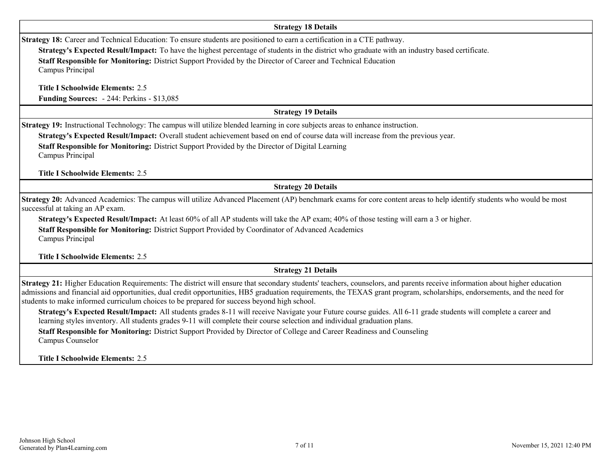#### **Strategy 18 Details**

**Strategy 18:** Career and Technical Education: To ensure students are positioned to earn a certification in a CTE pathway.

**Strategy's Expected Result/Impact:** To have the highest percentage of students in the district who graduate with an industry based certificate.

**Staff Responsible for Monitoring:** District Support Provided by the Director of Career and Technical Education Campus Principal

**Title I Schoolwide Elements:** 2.5 **Funding Sources:** - 244: Perkins - \$13,085

### **Strategy 19 Details**

**Strategy 19:** Instructional Technology: The campus will utilize blended learning in core subjects areas to enhance instruction.

**Strategy's Expected Result/Impact:** Overall student achievement based on end of course data will increase from the previous year.

**Staff Responsible for Monitoring:** District Support Provided by the Director of Digital Learning Campus Principal

**Title I Schoolwide Elements:** 2.5

**Strategy 20 Details**

**Strategy 20:** Advanced Academics: The campus will utilize Advanced Placement (AP) benchmark exams for core content areas to help identify students who would be most successful at taking an AP exam.

**Strategy's Expected Result/Impact:** At least 60% of all AP students will take the AP exam; 40% of those testing will earn a 3 or higher.

**Staff Responsible for Monitoring:** District Support Provided by Coordinator of Advanced Academics Campus Principal

**Title I Schoolwide Elements:** 2.5

**Strategy 21 Details**

**Strategy 21:** Higher Education Requirements: The district will ensure that secondary students' teachers, counselors, and parents receive information about higher education admissions and financial aid opportunities, dual credit opportunities, HB5 graduation requirements, the TEXAS grant program, scholarships, endorsements, and the need for students to make informed curriculum choices to be prepared for success beyond high school.

**Strategy's Expected Result/Impact:** All students grades 8-11 will receive Navigate your Future course guides. All 6-11 grade students will complete a career and learning styles inventory. All students grades 9-11 will complete their course selection and individual graduation plans.

**Staff Responsible for Monitoring:** District Support Provided by Director of College and Career Readiness and Counseling Campus Counselor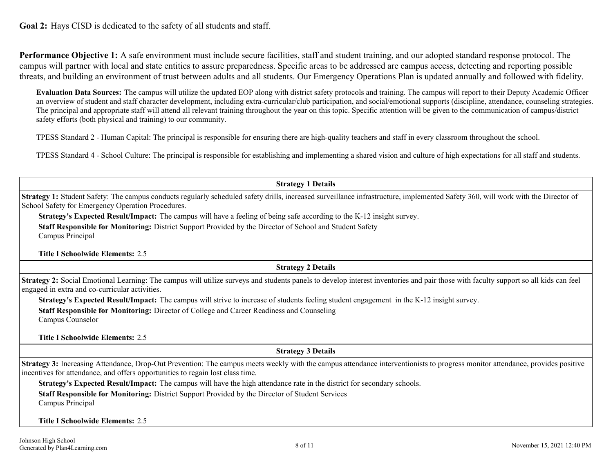**Performance Objective 1:** A safe environment must include secure facilities, staff and student training, and our adopted standard response protocol. The campus will partner with local and state entities to assure preparedness. Specific areas to be addressed are campus access, detecting and reporting possible threats, and building an environment of trust between adults and all students. Our Emergency Operations Plan is updated annually and followed with fidelity.

**Evaluation Data Sources:** The campus will utilize the updated EOP along with district safety protocols and training. The campus will report to their Deputy Academic Officer an overview of student and staff character development, including extra-curricular/club participation, and social/emotional supports (discipline, attendance, counseling strategies. The principal and appropriate staff will attend all relevant training throughout the year on this topic. Specific attention will be given to the communication of campus/district safety efforts (both physical and training) to our community.

TPESS Standard 2 - Human Capital: The principal is responsible for ensuring there are high-quality teachers and staff in every classroom throughout the school.

TPESS Standard 4 - School Culture: The principal is responsible for establishing and implementing a shared vision and culture of high expectations for all staff and students.

**Strategy 1 Details**

**Strategy 1:** Student Safety: The campus conducts regularly scheduled safety drills, increased surveillance infrastructure, implemented Safety 360, will work with the Director of School Safety for Emergency Operation Procedures.

**Strategy's Expected Result/Impact:** The campus will have a feeling of being safe according to the K-12 insight survey.

**Staff Responsible for Monitoring:** District Support Provided by the Director of School and Student Safety Campus Principal

**Title I Schoolwide Elements:** 2.5

**Strategy 2 Details**

**Strategy 2:** Social Emotional Learning: The campus will utilize surveys and students panels to develop interest inventories and pair those with faculty support so all kids can feel engaged in extra and co-curricular activities.

**Strategy's Expected Result/Impact:** The campus will strive to increase of students feeling student engagement in the K-12 insight survey.

**Staff Responsible for Monitoring:** Director of College and Career Readiness and Counseling

Campus Counselor

**Title I Schoolwide Elements:** 2.5

### **Strategy 3 Details**

**Strategy 3:** Increasing Attendance, Drop-Out Prevention: The campus meets weekly with the campus attendance interventionists to progress monitor attendance, provides positive incentives for attendance, and offers opportunities to regain lost class time.

**Strategy's Expected Result/Impact:** The campus will have the high attendance rate in the district for secondary schools.

**Staff Responsible for Monitoring:** District Support Provided by the Director of Student Services

Campus Principal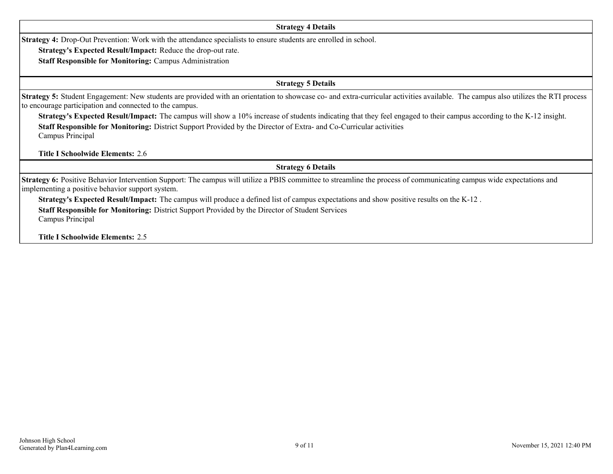#### **Strategy 4 Details**

**Strategy 4:** Drop-Out Prevention: Work with the attendance specialists to ensure students are enrolled in school.

**Strategy's Expected Result/Impact:** Reduce the drop-out rate.

**Staff Responsible for Monitoring:** Campus Administration

**Strategy 5 Details**

**Strategy 5:** Student Engagement: New students are provided with an orientation to showcase co- and extra-curricular activities available. The campus also utilizes the RTI process to encourage participation and connected to the campus.

**Strategy's Expected Result/Impact:** The campus will show a 10% increase of students indicating that they feel engaged to their campus according to the K-12 insight. **Staff Responsible for Monitoring:** District Support Provided by the Director of Extra- and Co-Curricular activities Campus Principal

**Title I Schoolwide Elements:** 2.6

**Strategy 6 Details**

**Strategy 6:** Positive Behavior Intervention Support: The campus will utilize a PBIS committee to streamline the process of communicating campus wide expectations and implementing a positive behavior support system.

**Strategy's Expected Result/Impact:** The campus will produce a defined list of campus expectations and show positive results on the K-12 .

**Staff Responsible for Monitoring:** District Support Provided by the Director of Student Services Campus Principal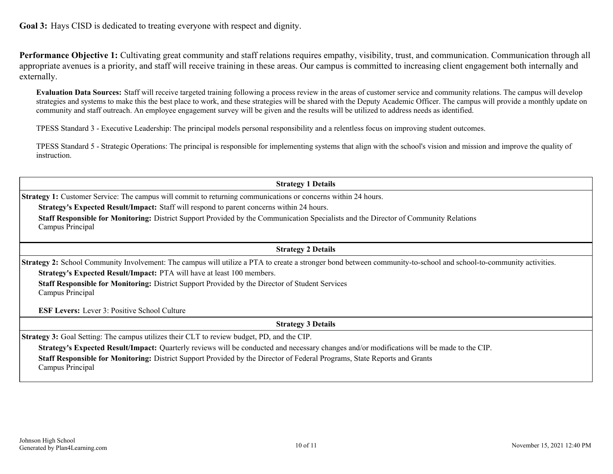**Goal 3:** Hays CISD is dedicated to treating everyone with respect and dignity.

Performance Objective 1: Cultivating great community and staff relations requires empathy, visibility, trust, and communication. Communication through all appropriate avenues is a priority, and staff will receive training in these areas. Our campus is committed to increasing client engagement both internally and externally.

**Evaluation Data Sources:** Staff will receive targeted training following a process review in the areas of customer service and community relations. The campus will develop strategies and systems to make this the best place to work, and these strategies will be shared with the Deputy Academic Officer. The campus will provide a monthly update on community and staff outreach. An employee engagement survey will be given and the results will be utilized to address needs as identified.

TPESS Standard 3 - Executive Leadership: The principal models personal responsibility and a relentless focus on improving student outcomes.

TPESS Standard 5 - Strategic Operations: The principal is responsible for implementing systems that align with the school's vision and mission and improve the quality of instruction.

**Strategy 1 Details**

**Strategy 1:** Customer Service: The campus will commit to returning communications or concerns within 24 hours.

**Strategy's Expected Result/Impact:** Staff will respond to parent concerns within 24 hours.

**Staff Responsible for Monitoring:** District Support Provided by the Communication Specialists and the Director of Community Relations Campus Principal

**Strategy 2 Details**

**Strategy 2:** School Community Involvement: The campus will utilize a PTA to create a stronger bond between community-to-school and school-to-community activities. **Strategy's Expected Result/Impact:** PTA will have at least 100 members.

**Staff Responsible for Monitoring:** District Support Provided by the Director of Student Services Campus Principal

**ESF Levers:** Lever 3: Positive School Culture

**Strategy 3 Details**

**Strategy 3:** Goal Setting: The campus utilizes their CLT to review budget, PD, and the CIP.

**Strategy's Expected Result/Impact:** Quarterly reviews will be conducted and necessary changes and/or modifications will be made to the CIP.

**Staff Responsible for Monitoring:** District Support Provided by the Director of Federal Programs, State Reports and Grants Campus Principal